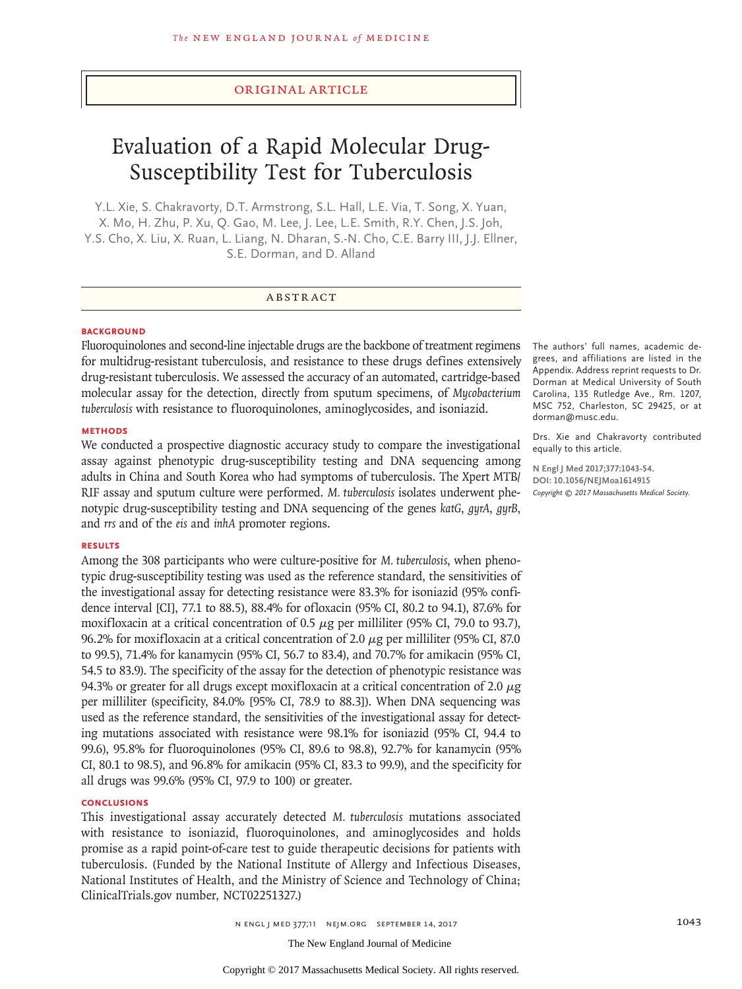# Original Article

# Evaluation of a Rapid Molecular Drug-Susceptibility Test for Tuberculosis

Y.L. Xie, S. Chakravorty, D.T. Armstrong, S.L. Hall, L.E. Via, T. Song, X. Yuan, X. Mo, H. Zhu, P. Xu, Q. Gao, M. Lee, J. Lee, L.E. Smith, R.Y. Chen, J.S. Joh, Y.S. Cho, X. Liu, X. Ruan, L. Liang, N. Dharan, S.-N. Cho, C.E. Barry III, J.J. Ellner, S.E. Dorman, and D. Alland

# ABSTR ACT

### **BACKGROUND**

Fluoroquinolones and second-line injectable drugs are the backbone of treatment regimens for multidrug-resistant tuberculosis, and resistance to these drugs defines extensively drug-resistant tuberculosis. We assessed the accuracy of an automated, cartridge-based molecular assay for the detection, directly from sputum specimens, of *Mycobacterium tuberculosis* with resistance to fluoroquinolones, aminoglycosides, and isoniazid.

# **METHODS**

We conducted a prospective diagnostic accuracy study to compare the investigational assay against phenotypic drug-susceptibility testing and DNA sequencing among adults in China and South Korea who had symptoms of tuberculosis. The Xpert MTB/ RIF assay and sputum culture were performed. *M. tuberculosis* isolates underwent phenotypic drug-susceptibility testing and DNA sequencing of the genes *katG*, *gyrA*, *gyrB*, and *rrs* and of the *eis* and *inhA* promoter regions.

#### **RESULTS**

Among the 308 participants who were culture-positive for *M. tuberculosis*, when phenotypic drug-susceptibility testing was used as the reference standard, the sensitivities of the investigational assay for detecting resistance were 83.3% for isoniazid (95% confidence interval [CI], 77.1 to 88.5), 88.4% for ofloxacin (95% CI, 80.2 to 94.1), 87.6% for moxifloxacin at a critical concentration of 0.5  $\mu$ g per milliliter (95% CI, 79.0 to 93.7), 96.2% for moxifloxacin at a critical concentration of 2.0  $\mu$ g per milliliter (95% CI, 87.0) to 99.5), 71.4% for kanamycin (95% CI, 56.7 to 83.4), and 70.7% for amikacin (95% CI, 54.5 to 83.9). The specificity of the assay for the detection of phenotypic resistance was 94.3% or greater for all drugs except moxifloxacin at a critical concentration of 2.0  $\mu$ g per milliliter (specificity, 84.0% [95% CI, 78.9 to 88.3]). When DNA sequencing was used as the reference standard, the sensitivities of the investigational assay for detecting mutations associated with resistance were 98.1% for isoniazid (95% CI, 94.4 to 99.6), 95.8% for fluoroquinolones (95% CI, 89.6 to 98.8), 92.7% for kanamycin (95% CI, 80.1 to 98.5), and 96.8% for amikacin (95% CI, 83.3 to 99.9), and the specificity for all drugs was 99.6% (95% CI, 97.9 to 100) or greater.

# **CONCLUSIONS**

This investigational assay accurately detected *M. tuberculosis* mutations associated with resistance to isoniazid, fluoroquinolones, and aminoglycosides and holds promise as a rapid point-of-care test to guide therapeutic decisions for patients with tuberculosis. (Funded by the National Institute of Allergy and Infectious Diseases, National Institutes of Health, and the Ministry of Science and Technology of China; ClinicalTrials.gov number, NCT02251327.)

n engl j med 377;11 nejm.org September 14, 2017 1043

*Copyright © 2017 Massachusetts Medical Society.*

dorman@musc.edu.

equally to this article. **N Engl J Med 2017;377:1043-54. DOI: 10.1056/NEJMoa1614915**

The authors' full names, academic degrees, and affiliations are listed in the Appendix. Address reprint requests to Dr. Dorman at Medical University of South Carolina, 135 Rutledge Ave., Rm. 1207, MSC 752, Charleston, SC 29425, or at

Drs. Xie and Chakravorty contributed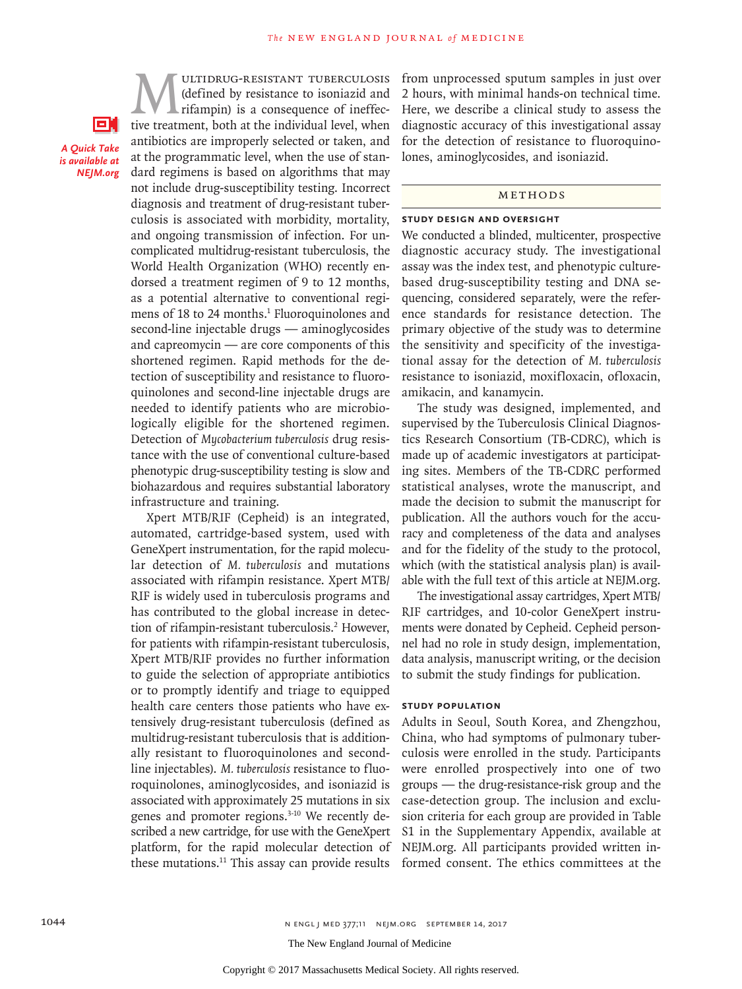61 *A Quick Take is available at NEJM.org*

**MULTIDRUG-RESISTANT TUBERCULOSIS**<br>
(defined by resistance to isoniazid and<br>
rifampin) is a consequence of ineffec-<br>
tive treatment, both at the individual level, when (defined by resistance to isoniazid and rifampin) is a consequence of ineffecantibiotics are improperly selected or taken, and at the programmatic level, when the use of standard regimens is based on algorithms that may not include drug-susceptibility testing. Incorrect diagnosis and treatment of drug-resistant tuberculosis is associated with morbidity, mortality, and ongoing transmission of infection. For uncomplicated multidrug-resistant tuberculosis, the World Health Organization (WHO) recently endorsed a treatment regimen of 9 to 12 months, as a potential alternative to conventional regimens of 18 to 24 months.<sup>1</sup> Fluoroquinolones and second-line injectable drugs — aminoglycosides and capreomycin — are core components of this shortened regimen. Rapid methods for the detection of susceptibility and resistance to fluoroquinolones and second-line injectable drugs are needed to identify patients who are microbiologically eligible for the shortened regimen. Detection of *Mycobacterium tuberculosis* drug resistance with the use of conventional culture-based phenotypic drug-susceptibility testing is slow and biohazardous and requires substantial laboratory infrastructure and training.

Xpert MTB/RIF (Cepheid) is an integrated, automated, cartridge-based system, used with GeneXpert instrumentation, for the rapid molecular detection of *M. tuberculosis* and mutations associated with rifampin resistance. Xpert MTB/ RIF is widely used in tuberculosis programs and has contributed to the global increase in detection of rifampin-resistant tuberculosis.<sup>2</sup> However, for patients with rifampin-resistant tuberculosis, Xpert MTB/RIF provides no further information to guide the selection of appropriate antibiotics or to promptly identify and triage to equipped health care centers those patients who have extensively drug-resistant tuberculosis (defined as multidrug-resistant tuberculosis that is additionally resistant to fluoroquinolones and secondline injectables). *M. tuberculosis* resistance to fluoroquinolones, aminoglycosides, and isoniazid is associated with approximately 25 mutations in six genes and promoter regions.3-10 We recently described a new cartridge, for use with the GeneXpert platform, for the rapid molecular detection of these mutations.<sup>11</sup> This assay can provide results

from unprocessed sputum samples in just over 2 hours, with minimal hands-on technical time. Here, we describe a clinical study to assess the diagnostic accuracy of this investigational assay for the detection of resistance to fluoroquinolones, aminoglycosides, and isoniazid.

# **METHODS**

#### **Study Design and Oversight**

We conducted a blinded, multicenter, prospective diagnostic accuracy study. The investigational assay was the index test, and phenotypic culturebased drug-susceptibility testing and DNA sequencing, considered separately, were the reference standards for resistance detection. The primary objective of the study was to determine the sensitivity and specificity of the investigational assay for the detection of *M. tuberculosis* resistance to isoniazid, moxifloxacin, ofloxacin, amikacin, and kanamycin.

The study was designed, implemented, and supervised by the Tuberculosis Clinical Diagnostics Research Consortium (TB-CDRC), which is made up of academic investigators at participating sites. Members of the TB-CDRC performed statistical analyses, wrote the manuscript, and made the decision to submit the manuscript for publication. All the authors vouch for the accuracy and completeness of the data and analyses and for the fidelity of the study to the protocol, which (with the statistical analysis plan) is available with the full text of this article at NEJM.org.

The investigational assay cartridges, Xpert MTB/ RIF cartridges, and 10-color GeneXpert instruments were donated by Cepheid. Cepheid personnel had no role in study design, implementation, data analysis, manuscript writing, or the decision to submit the study findings for publication.

#### **Study Population**

Adults in Seoul, South Korea, and Zhengzhou, China, who had symptoms of pulmonary tuberculosis were enrolled in the study. Participants were enrolled prospectively into one of two groups — the drug-resistance-risk group and the case-detection group. The inclusion and exclusion criteria for each group are provided in Table S1 in the Supplementary Appendix, available at NEJM.org. All participants provided written informed consent. The ethics committees at the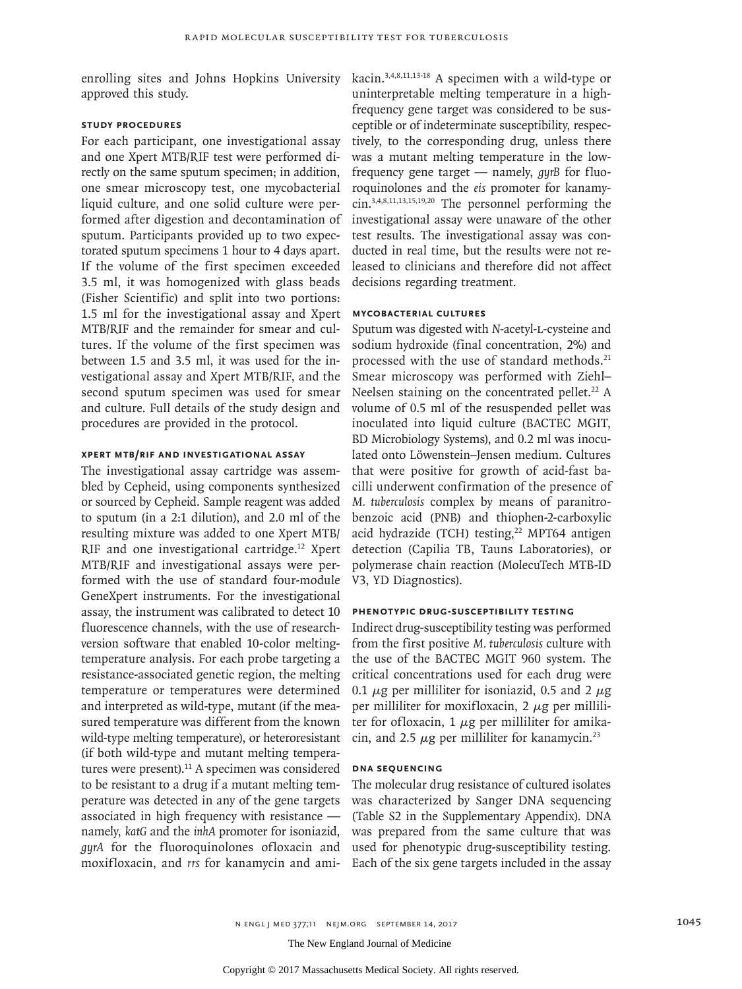enrolling sites and Johns Hopkins University approved this study.

# **Study Procedures**

For each participant, one investigational assay and one Xpert MTB/RIF test were performed directly on the same sputum specimen; in addition, one smear microscopy test, one mycobacterial liquid culture, and one solid culture were performed after digestion and decontamination of sputum. Participants provided up to two expectorated sputum specimens 1 hour to 4 days apart. If the volume of the first specimen exceeded 3.5 ml, it was homogenized with glass beads (Fisher Scientific) and split into two portions: 1.5 ml for the investigational assay and Xpert MTB/RIF and the remainder for smear and cultures. If the volume of the first specimen was between 1.5 and 3.5 ml, it was used for the investigational assay and Xpert MTB/RIF, and the second sputum specimen was used for smear and culture. Full details of the study design and procedures are provided in the protocol.

# **Xpert MTB/RIF and Investigational Assay**

The investigational assay cartridge was assembled by Cepheid, using components synthesized or sourced by Cepheid. Sample reagent was added to sputum (in a 2:1 dilution), and 2.0 ml of the resulting mixture was added to one Xpert MTB/ RIF and one investigational cartridge.<sup>12</sup> Xpert MTB/RIF and investigational assays were performed with the use of standard four-module GeneXpert instruments. For the investigational assay, the instrument was calibrated to detect 10 fluorescence channels, with the use of researchversion software that enabled 10-color meltingtemperature analysis. For each probe targeting a resistance-associated genetic region, the melting temperature or temperatures were determined and interpreted as wild-type, mutant (if the measured temperature was different from the known wild-type melting temperature), or heteroresistant (if both wild-type and mutant melting temperatures were present). $^{11}$  A specimen was considered to be resistant to a drug if a mutant melting temperature was detected in any of the gene targets associated in high frequency with resistance namely, *katG* and the *inhA* promoter for isoniazid, *gyrA* for the fluoroquinolones ofloxacin and moxifloxacin, and *rrs* for kanamycin and ami-

kacin.3,4,8,11,13-18 A specimen with a wild-type or uninterpretable melting temperature in a highfrequency gene target was considered to be susceptible or of indeterminate susceptibility, respectively, to the corresponding drug, unless there was a mutant melting temperature in the lowfrequency gene target — namely, *gyrB* for fluoroquinolones and the *eis* promoter for kanamycin.3,4,8,11,13,15,19,20 The personnel performing the investigational assay were unaware of the other test results. The investigational assay was conducted in real time, but the results were not released to clinicians and therefore did not affect decisions regarding treatment.

#### **Mycobacterial Cultures**

Sputum was digested with *N*-acetyl-l-cysteine and sodium hydroxide (final concentration, 2%) and processed with the use of standard methods.21 Smear microscopy was performed with Ziehl– Neelsen staining on the concentrated pellet.<sup>22</sup> A volume of 0.5 ml of the resuspended pellet was inoculated into liquid culture (BACTEC MGIT, BD Microbiology Systems), and 0.2 ml was inoculated onto Löwenstein–Jensen medium. Cultures that were positive for growth of acid-fast bacilli underwent confirmation of the presence of *M. tuberculosis* complex by means of paranitrobenzoic acid (PNB) and thiophen-2-carboxylic acid hydrazide (TCH) testing,<sup>22</sup> MPT64 antigen detection (Capilia TB, Tauns Laboratories), or polymerase chain reaction (MolecuTech MTB-ID V3, YD Diagnostics).

# **Phenotypic Drug-Susceptibility Testing**

Indirect drug-susceptibility testing was performed from the first positive *M. tuberculosis* culture with the use of the BACTEC MGIT 960 system. The critical concentrations used for each drug were 0.1  $\mu$ g per milliliter for isoniazid, 0.5 and 2  $\mu$ g per milliliter for moxifloxacin,  $2 \mu$ g per milliliter for ofloxacin,  $1 \mu$ g per milliliter for amikacin, and 2.5  $\mu$ g per milliliter for kanamycin.<sup>23</sup>

# **DNA Sequencing**

The molecular drug resistance of cultured isolates was characterized by Sanger DNA sequencing (Table S2 in the Supplementary Appendix). DNA was prepared from the same culture that was used for phenotypic drug-susceptibility testing. Each of the six gene targets included in the assay

n engl j med 377;11 nejm.org September 14, 2017 1045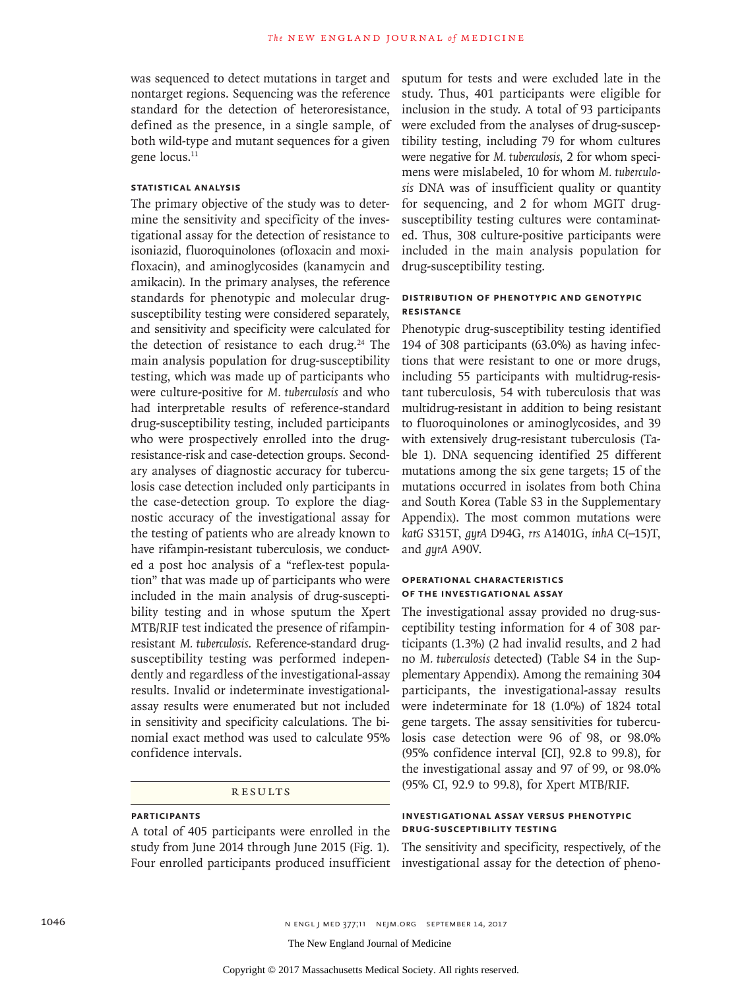was sequenced to detect mutations in target and nontarget regions. Sequencing was the reference standard for the detection of heteroresistance, defined as the presence, in a single sample, of both wild-type and mutant sequences for a given gene locus.<sup>11</sup>

## **Statistical Analysis**

The primary objective of the study was to determine the sensitivity and specificity of the investigational assay for the detection of resistance to isoniazid, fluoroquinolones (ofloxacin and moxifloxacin), and aminoglycosides (kanamycin and amikacin). In the primary analyses, the reference standards for phenotypic and molecular drugsusceptibility testing were considered separately, and sensitivity and specificity were calculated for the detection of resistance to each drug.<sup>24</sup> The main analysis population for drug-susceptibility testing, which was made up of participants who were culture-positive for *M. tuberculosis* and who had interpretable results of reference-standard drug-susceptibility testing, included participants who were prospectively enrolled into the drugresistance-risk and case-detection groups. Secondary analyses of diagnostic accuracy for tuberculosis case detection included only participants in the case-detection group. To explore the diagnostic accuracy of the investigational assay for the testing of patients who are already known to have rifampin-resistant tuberculosis, we conducted a post hoc analysis of a "reflex-test population" that was made up of participants who were included in the main analysis of drug-susceptibility testing and in whose sputum the Xpert MTB/RIF test indicated the presence of rifampinresistant *M. tuberculosis*. Reference-standard drugsusceptibility testing was performed independently and regardless of the investigational-assay results. Invalid or indeterminate investigationalassay results were enumerated but not included in sensitivity and specificity calculations. The binomial exact method was used to calculate 95% confidence intervals.

### **RESULTS**

# **Participants**

A total of 405 participants were enrolled in the study from June 2014 through June 2015 (Fig. 1). Four enrolled participants produced insufficient

sputum for tests and were excluded late in the study. Thus, 401 participants were eligible for inclusion in the study. A total of 93 participants were excluded from the analyses of drug-susceptibility testing, including 79 for whom cultures were negative for *M. tuberculosis*, 2 for whom specimens were mislabeled, 10 for whom *M. tuberculosis* DNA was of insufficient quality or quantity for sequencing, and 2 for whom MGIT drugsusceptibility testing cultures were contaminated. Thus, 308 culture-positive participants were included in the main analysis population for drug-susceptibility testing.

# **Distribution of Phenotypic and Genotypic Resistance**

Phenotypic drug-susceptibility testing identified 194 of 308 participants (63.0%) as having infections that were resistant to one or more drugs, including 55 participants with multidrug-resistant tuberculosis, 54 with tuberculosis that was multidrug-resistant in addition to being resistant to fluoroquinolones or aminoglycosides, and 39 with extensively drug-resistant tuberculosis (Table 1). DNA sequencing identified 25 different mutations among the six gene targets; 15 of the mutations occurred in isolates from both China and South Korea (Table S3 in the Supplementary Appendix). The most common mutations were *katG* S315T, *gyrA* D94G, *rrs* A1401G, *inhA* C(−15)T, and *gyrA* A90V.

# **Operational Characteristics of the Investigational Assay**

The investigational assay provided no drug-susceptibility testing information for 4 of 308 participants (1.3%) (2 had invalid results, and 2 had no *M. tuberculosis* detected) (Table S4 in the Supplementary Appendix). Among the remaining 304 participants, the investigational-assay results were indeterminate for 18 (1.0%) of 1824 total gene targets. The assay sensitivities for tuberculosis case detection were 96 of 98, or 98.0% (95% confidence interval [CI], 92.8 to 99.8), for the investigational assay and 97 of 99, or 98.0% (95% CI, 92.9 to 99.8), for Xpert MTB/RIF.

# **Investigational Assay versus Phenotypic Drug-Susceptibility Testing**

The sensitivity and specificity, respectively, of the investigational assay for the detection of pheno-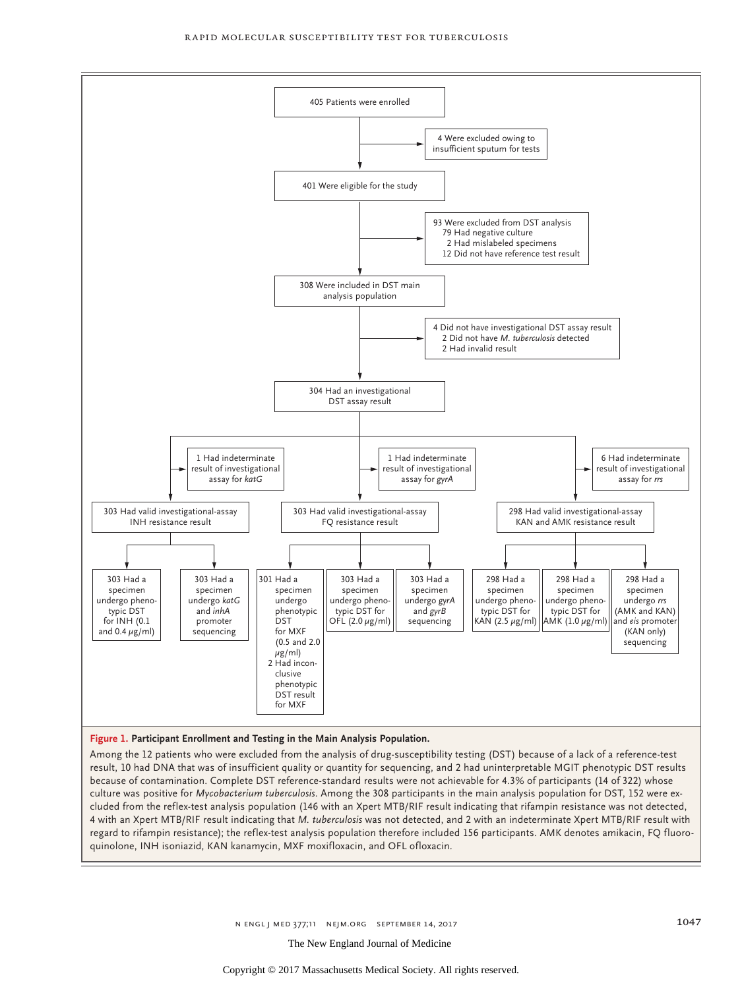

#### **Figure 1. Participant Enrollment and Testing in the Main Analysis Population.**

Among the 12 patients who were excluded from the analysis of drug-susceptibility testing (DST) because of a lack of a reference-test result, 10 had DNA that was of insufficient quality or quantity for sequencing, and 2 had uninterpretable MGIT phenotypic DST results because of contamination. Complete DST reference-standard results were not achievable for 4.3% of participants (14 of 322) whose culture was positive for *Mycobacterium tuberculosis*. Among the 308 participants in the main analysis population for DST, 152 were excluded from the reflex-test analysis population (146 with an Xpert MTB/RIF result indicating that rifampin resistance was not detected, 4 with an Xpert MTB/RIF result indicating that *M. tuberculosis* was not detected, and 2 with an indeterminate Xpert MTB/RIF result with regard to rifampin resistance); the reflex-test analysis population therefore included 156 participants. AMK denotes amikacin, FQ fluoroquinolone, INH isoniazid, KAN kanamycin, MXF moxifloxacin, and OFL ofloxacin.

n engl j med 377;11 nejm.org September 14, 2017 1047

Copyright © 2017 Massachusetts Medical Society. All rights reserved.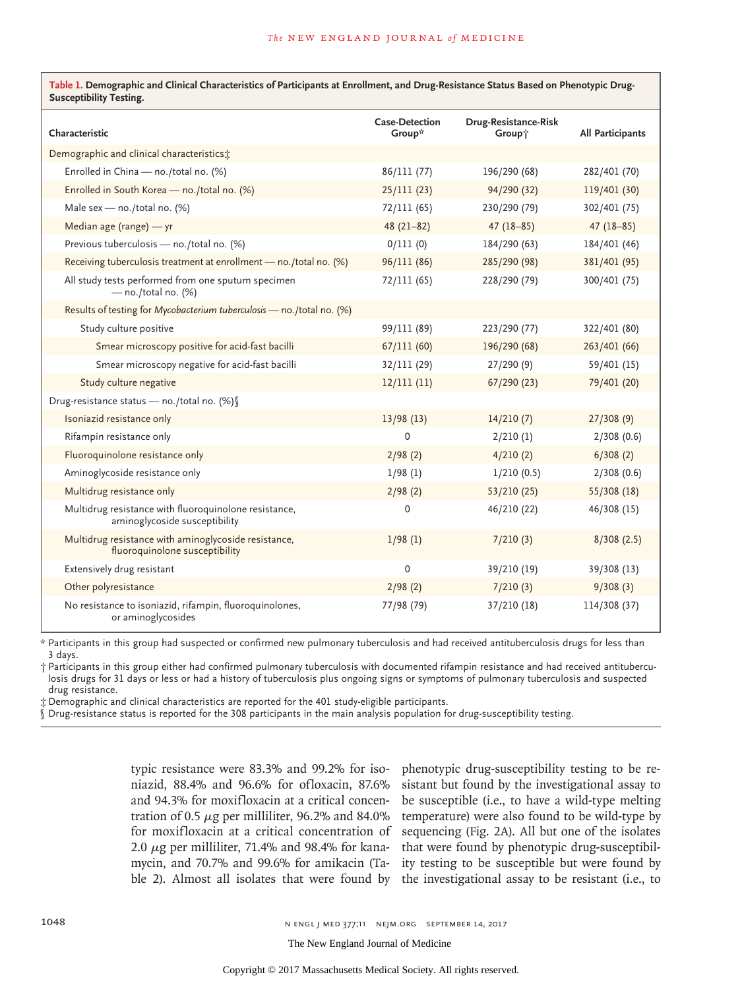| Table 1. Demographic and Clinical Characteristics of Participants at Enrollment, and Drug-Resistance Status Based on Phenotypic Drug-<br><b>Susceptibility Testing.</b> |                                 |                                |                         |  |  |  |  |
|-------------------------------------------------------------------------------------------------------------------------------------------------------------------------|---------------------------------|--------------------------------|-------------------------|--|--|--|--|
| Characteristic                                                                                                                                                          | <b>Case-Detection</b><br>Group* | Drug-Resistance-Risk<br>Group† | <b>All Participants</b> |  |  |  |  |
| Demographic and clinical characteristics;                                                                                                                               |                                 |                                |                         |  |  |  |  |
| Enrolled in China - no./total no. (%)                                                                                                                                   | 86/111 (77)                     | 196/290 (68)                   | 282/401 (70)            |  |  |  |  |
| Enrolled in South Korea - no./total no. (%)                                                                                                                             | 25/111(23)                      | 94/290 (32)                    | 119/401 (30)            |  |  |  |  |
| Male sex - no./total no. (%)                                                                                                                                            | 72/111(65)                      | 230/290 (79)                   | 302/401 (75)            |  |  |  |  |
| Median age (range) $-$ yr                                                                                                                                               | $48(21-82)$                     | $47(18-85)$                    | $47(18-85)$             |  |  |  |  |
| Previous tuberculosis - no./total no. (%)                                                                                                                               | 0/111(0)                        | 184/290 (63)                   | 184/401 (46)            |  |  |  |  |
| Receiving tuberculosis treatment at enrollment - no./total no. (%)                                                                                                      | 96/111 (86)                     | 285/290 (98)                   | 381/401 (95)            |  |  |  |  |
| All study tests performed from one sputum specimen<br>$-$ no./total no. (%)                                                                                             | 72/111(65)                      | 228/290 (79)                   | 300/401 (75)            |  |  |  |  |
| Results of testing for Mycobacterium tuberculosis - no./total no. (%)                                                                                                   |                                 |                                |                         |  |  |  |  |
| Study culture positive                                                                                                                                                  | 99/111 (89)                     | 223/290 (77)                   | 322/401 (80)            |  |  |  |  |
| Smear microscopy positive for acid-fast bacilli                                                                                                                         | 67/111(60)                      | 196/290 (68)                   | 263/401 (66)            |  |  |  |  |
| Smear microscopy negative for acid-fast bacilli                                                                                                                         | 32/111 (29)                     | 27/290(9)                      | 59/401 (15)             |  |  |  |  |
| Study culture negative                                                                                                                                                  | 12/111(11)                      | 67/290 (23)                    | 79/401 (20)             |  |  |  |  |
| Drug-resistance status - no./total no. (%) §                                                                                                                            |                                 |                                |                         |  |  |  |  |
| Isoniazid resistance only                                                                                                                                               | 13/98(13)                       | 14/210(7)                      | 27/308(9)               |  |  |  |  |
| Rifampin resistance only                                                                                                                                                | $\mathbf 0$                     | 2/210(1)                       | 2/308(0.6)              |  |  |  |  |
| Fluoroquinolone resistance only                                                                                                                                         | 2/98(2)                         | 4/210(2)                       | 6/308(2)                |  |  |  |  |
| Aminoglycoside resistance only                                                                                                                                          | 1/98(1)                         | 1/210(0.5)                     | 2/308(0.6)              |  |  |  |  |
| Multidrug resistance only                                                                                                                                               | 2/98(2)                         | 53/210(25)                     | 55/308(18)              |  |  |  |  |
| Multidrug resistance with fluoroquinolone resistance,<br>aminoglycoside susceptibility                                                                                  | $\mathsf 0$                     | 46/210 (22)                    | 46/308 (15)             |  |  |  |  |
| Multidrug resistance with aminoglycoside resistance,<br>fluoroquinolone susceptibility                                                                                  | 1/98(1)                         | 7/210(3)                       | 8/308(2.5)              |  |  |  |  |
| Extensively drug resistant                                                                                                                                              | 0                               | 39/210 (19)                    | 39/308 (13)             |  |  |  |  |
| Other polyresistance                                                                                                                                                    | 2/98(2)                         | 7/210(3)                       | 9/308(3)                |  |  |  |  |
| No resistance to isoniazid, rifampin, fluoroquinolones,<br>or aminoglycosides                                                                                           | 77/98 (79)                      | 37/210 (18)                    | 114/308 (37)            |  |  |  |  |

\* Participants in this group had suspected or confirmed new pulmonary tuberculosis and had received antituberculosis drugs for less than 3 days.

† Participants in this group either had confirmed pulmonary tuberculosis with documented rifampin resistance and had received antituberculosis drugs for 31 days or less or had a history of tuberculosis plus ongoing signs or symptoms of pulmonary tuberculosis and suspected drug resistance.

‡ Demographic and clinical characteristics are reported for the 401 study-eligible participants.

§ Drug-resistance status is reported for the 308 participants in the main analysis population for drug-susceptibility testing.

typic resistance were 83.3% and 99.2% for isoniazid, 88.4% and 96.6% for ofloxacin, 87.6% and 94.3% for moxifloxacin at a critical concentration of 0.5  $\mu$ g per milliliter, 96.2% and 84.0% for moxifloxacin at a critical concentration of 2.0  $\mu$ g per milliliter, 71.4% and 98.4% for kanamycin, and 70.7% and 99.6% for amikacin (Ta-

ble 2). Almost all isolates that were found by the investigational assay to be resistant (i.e., to phenotypic drug-susceptibility testing to be resistant but found by the investigational assay to be susceptible (i.e., to have a wild-type melting temperature) were also found to be wild-type by sequencing (Fig. 2A). All but one of the isolates that were found by phenotypic drug-susceptibility testing to be susceptible but were found by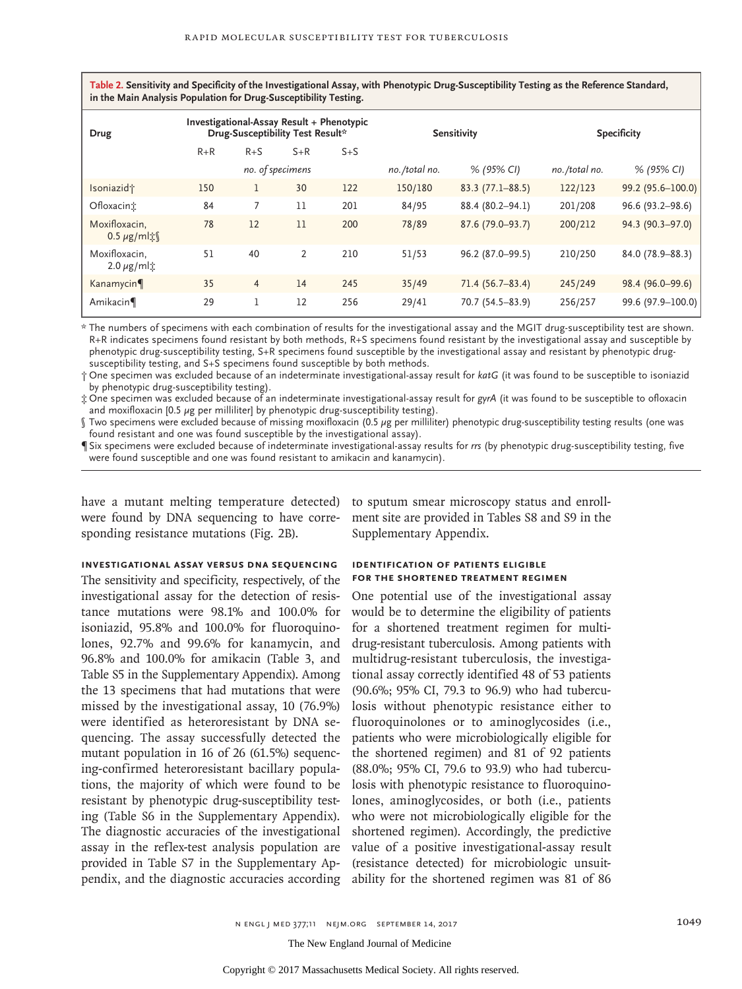**Table 2. Sensitivity and Specificity of the Investigational Assay, with Phenotypic Drug-Susceptibility Testing as the Reference Standard, in the Main Analysis Population for Drug-Susceptibility Testing.**

| Drug                                          | Investigational-Assay Result + Phenotypic<br>Drug-Susceptibility Test Result* |                |       | <b>Sensitivity</b> |            | <b>Specificity</b>  |            |                   |
|-----------------------------------------------|-------------------------------------------------------------------------------|----------------|-------|--------------------|------------|---------------------|------------|-------------------|
|                                               | $R + R$                                                                       | $R + S$        | $S+R$ | $S + S$            |            |                     |            |                   |
|                                               | no. of specimens                                                              |                |       | no./total no.      | % (95% CI) | no./total no.       | % (95% CI) |                   |
| Isoniazid <sup>+</sup>                        | 150                                                                           |                | 30    | 122                | 150/180    | $83.3(77.1 - 88.5)$ | 122/123    | 99.2 (95.6-100.0) |
| Ofloxacint                                    | 84                                                                            |                | 11    | 201                | 84/95      | 88.4 (80.2-94.1)    | 201/208    | 96.6 (93.2-98.6)  |
| Moxifloxacin,<br>$0.5 \mu$ g/ml $\frac{1}{2}$ | 78                                                                            | 12             | 11    | 200                | 78/89      | 87.6 (79.0-93.7)    | 200/212    | 94.3 (90.3-97.0)  |
| Moxifloxacin,<br>$2.0 \mu g/ml$               | 51                                                                            | 40             | 2     | 210                | 51/53      | 96.2 (87.0-99.5)    | 210/250    | 84.0 (78.9-88.3)  |
| Kanamycin                                     | 35                                                                            | $\overline{4}$ | 14    | 245                | 35/49      | 71.4 (56.7-83.4)    | 245/249    | 98.4 (96.0-99.6)  |
| Amikacin                                      | 29                                                                            |                | 12    | 256                | 29/41      | 70.7 (54.5-83.9)    | 256/257    | 99.6 (97.9-100.0) |

\* The numbers of specimens with each combination of results for the investigational assay and the MGIT drug-susceptibility test are shown. R+R indicates specimens found resistant by both methods, R+S specimens found resistant by the investigational assay and susceptible by phenotypic drug-susceptibility testing, S+R specimens found susceptible by the investigational assay and resistant by phenotypic drugsusceptibility testing, and S+S specimens found susceptible by both methods.

† One specimen was excluded because of an indeterminate investigational-assay result for *katG* (it was found to be susceptible to isoniazid by phenotypic drug-susceptibility testing).

‡ One specimen was excluded because of an indeterminate investigational-assay result for *gyrA* (it was found to be susceptible to ofloxacin and moxifloxacin [0.5  $\mu$ g per milliliter] by phenotypic drug-susceptibility testing).

§ Two specimens were excluded because of missing moxifloxacin (0.5 μg per milliliter) phenotypic drug-susceptibility testing results (one was found resistant and one was found susceptible by the investigational assay).

¶ Six specimens were excluded because of indeterminate investigational-assay results for *rrs* (by phenotypic drug-susceptibility testing, five were found susceptible and one was found resistant to amikacin and kanamycin).

have a mutant melting temperature detected) were found by DNA sequencing to have corresponding resistance mutations (Fig. 2B).

# **Investigational Assay versus DNA Sequencing**

The sensitivity and specificity, respectively, of the investigational assay for the detection of resistance mutations were 98.1% and 100.0% for isoniazid, 95.8% and 100.0% for fluoroquinolones, 92.7% and 99.6% for kanamycin, and 96.8% and 100.0% for amikacin (Table 3, and Table S5 in the Supplementary Appendix). Among the 13 specimens that had mutations that were missed by the investigational assay, 10 (76.9%) were identified as heteroresistant by DNA sequencing. The assay successfully detected the mutant population in 16 of 26 (61.5%) sequencing-confirmed heteroresistant bacillary populations, the majority of which were found to be resistant by phenotypic drug-susceptibility testing (Table S6 in the Supplementary Appendix). The diagnostic accuracies of the investigational assay in the reflex-test analysis population are provided in Table S7 in the Supplementary Appendix, and the diagnostic accuracies according

to sputum smear microscopy status and enrollment site are provided in Tables S8 and S9 in the Supplementary Appendix.

# **Identification of Patients Eligible for the Shortened Treatment Regimen**

One potential use of the investigational assay would be to determine the eligibility of patients for a shortened treatment regimen for multidrug-resistant tuberculosis. Among patients with multidrug-resistant tuberculosis, the investigational assay correctly identified 48 of 53 patients (90.6%; 95% CI, 79.3 to 96.9) who had tuberculosis without phenotypic resistance either to fluoroquinolones or to aminoglycosides (i.e., patients who were microbiologically eligible for the shortened regimen) and 81 of 92 patients (88.0%; 95% CI, 79.6 to 93.9) who had tuberculosis with phenotypic resistance to fluoroquinolones, aminoglycosides, or both (i.e., patients who were not microbiologically eligible for the shortened regimen). Accordingly, the predictive value of a positive investigational-assay result (resistance detected) for microbiologic unsuitability for the shortened regimen was 81 of 86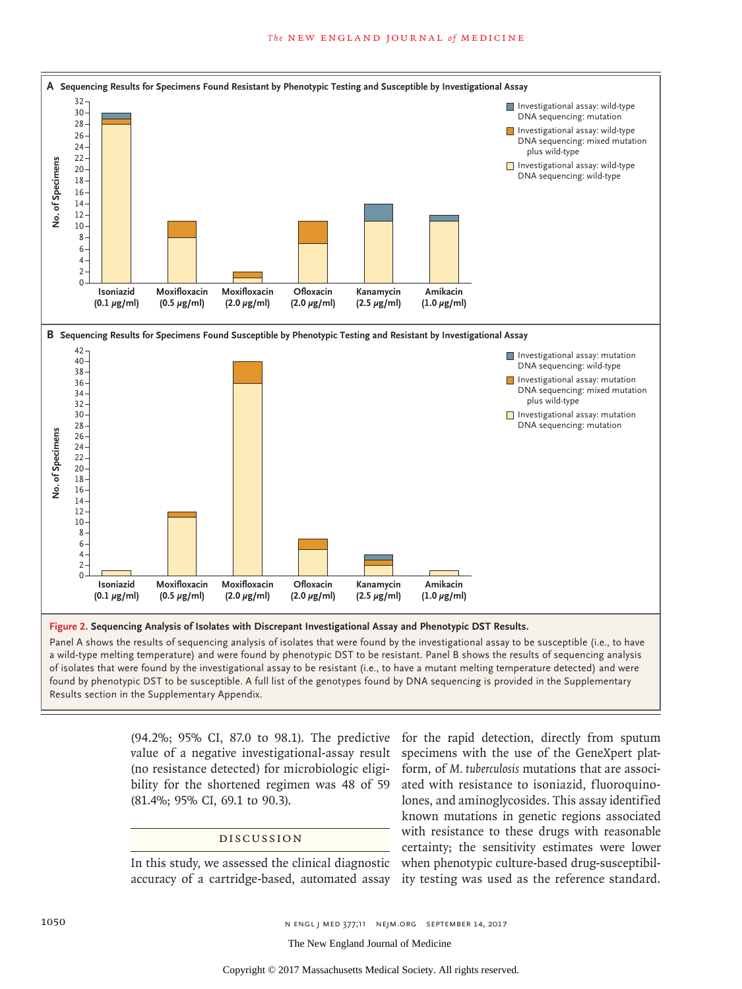

**Figure 2. Sequencing Analysis of Isolates with Discrepant Investigational Assay and Phenotypic DST Results.**

Panel A shows the results of sequencing analysis of isolates that were found by the investigational assay to be susceptible (i.e., to have a wild-type melting temperature) and were found by phenotypic DST to be resistant. Panel B shows the results of sequencing analysis of isolates that were found by the investigational assay to be resistant (i.e., to have a mutant melting temperature detected) and were found by phenotypic DST to be susceptible. A full list of the genotypes found by DNA sequencing is provided in the Supplementary

> (94.2%; 95% CI, 87.0 to 98.1). The predictive value of a negative investigational-assay result (no resistance detected) for microbiologic eligibility for the shortened regimen was 48 of 59 (81.4%; 95% CI, 69.1 to 90.3).

#### Discussion

In this study, we assessed the clinical diagnostic accuracy of a cartridge-based, automated assay

for the rapid detection, directly from sputum specimens with the use of the GeneXpert platform, of *M. tuberculosis* mutations that are associated with resistance to isoniazid, fluoroquinolones, and aminoglycosides. This assay identified known mutations in genetic regions associated with resistance to these drugs with reasonable certainty; the sensitivity estimates were lower when phenotypic culture-based drug-susceptibility testing was used as the reference standard.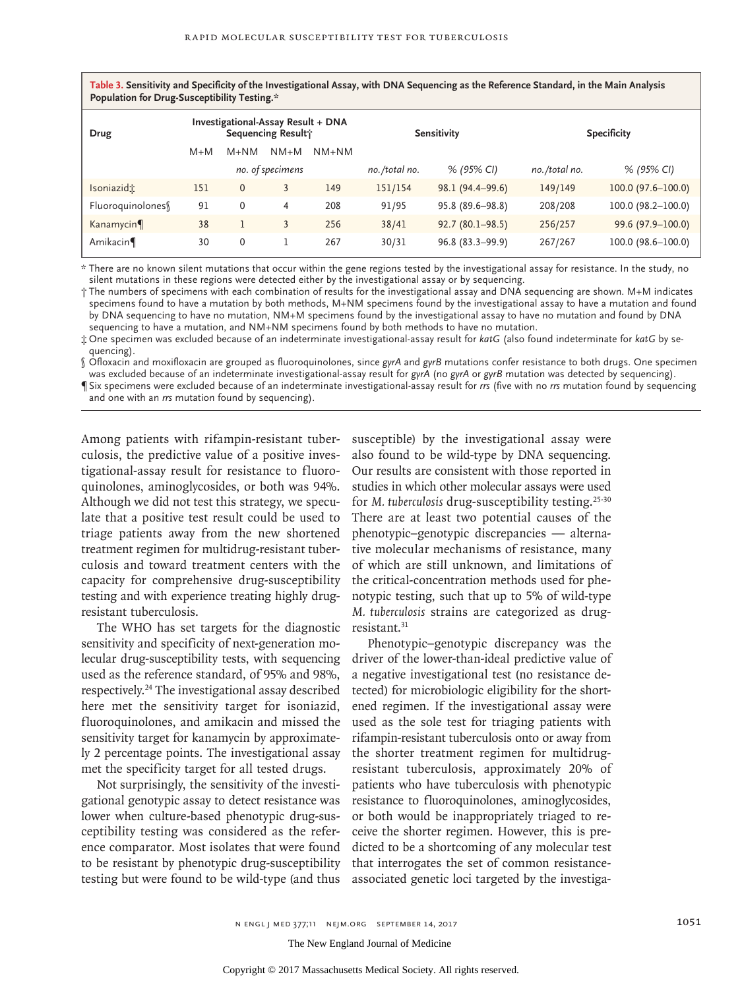**Table 3. Sensitivity and Specificity of the Investigational Assay, with DNA Sequencing as the Reference Standard, in the Main Analysis Population for Drug-Susceptibility Testing.\***

| Drug             | Investigational-Assay Result + DNA<br>Sequencing Result; |           |                  | <b>Sensitivity</b> |               | <b>Specificity</b>  |               |                       |
|------------------|----------------------------------------------------------|-----------|------------------|--------------------|---------------|---------------------|---------------|-----------------------|
|                  | $M+M$                                                    | $M + N M$ | $NM+M$           | $NM+NM$            |               |                     |               |                       |
|                  |                                                          |           | no. of specimens |                    | no./total no. | % (95% CI)          | no./total no. | % (95% CI)            |
| Isoniazidt       | 151                                                      | 0         | 3                | 149                | 151/154       | 98.1 (94.4-99.6)    | 149/149       | $100.0(97.6 - 100.0)$ |
| Fluoroquinolones | 91                                                       | 0         | 4                | 208                | 91/95         | 95.8 (89.6–98.8)    | 208/208       | $100.0$ (98.2-100.0)  |
| Kanamycin        | 38                                                       |           | 3                | 256                | 38/41         | $92.7(80.1 - 98.5)$ | 256/257       | 99.6 (97.9-100.0)     |
| Amikacin¶        | 30                                                       | 0         |                  | 267                | 30/31         | $96.8(83.3-99.9)$   | 267/267       | 100.0 (98.6-100.0)    |

\* There are no known silent mutations that occur within the gene regions tested by the investigational assay for resistance. In the study, no silent mutations in these regions were detected either by the investigational assay or by sequencing.

† The numbers of specimens with each combination of results for the investigational assay and DNA sequencing are shown. M+M indicates specimens found to have a mutation by both methods, M+NM specimens found by the investigational assay to have a mutation and found by DNA sequencing to have no mutation, NM+M specimens found by the investigational assay to have no mutation and found by DNA sequencing to have a mutation, and NM+NM specimens found by both methods to have no mutation.

‡ One specimen was excluded because of an indeterminate investigational-assay result for *katG* (also found indeterminate for *katG* by sequencing).

§ Ofloxacin and moxifloxacin are grouped as fluoroquinolones, since *gyrA* and *gyrB* mutations confer resistance to both drugs. One specimen was excluded because of an indeterminate investigational-assay result for *gyrA* (no *gyrA* or *gyrB* mutation was detected by sequencing).

¶ Six specimens were excluded because of an indeterminate investigational-assay result for *rrs* (five with no *rrs* mutation found by sequencing and one with an *rrs* mutation found by sequencing).

Among patients with rifampin-resistant tuberculosis, the predictive value of a positive investigational-assay result for resistance to fluoroquinolones, aminoglycosides, or both was 94%. Although we did not test this strategy, we speculate that a positive test result could be used to triage patients away from the new shortened treatment regimen for multidrug-resistant tuberculosis and toward treatment centers with the capacity for comprehensive drug-susceptibility testing and with experience treating highly drugresistant tuberculosis.

The WHO has set targets for the diagnostic sensitivity and specificity of next-generation molecular drug-susceptibility tests, with sequencing used as the reference standard, of 95% and 98%, respectively.24 The investigational assay described here met the sensitivity target for isoniazid, fluoroquinolones, and amikacin and missed the sensitivity target for kanamycin by approximately 2 percentage points. The investigational assay met the specificity target for all tested drugs.

Not surprisingly, the sensitivity of the investigational genotypic assay to detect resistance was lower when culture-based phenotypic drug-susceptibility testing was considered as the reference comparator. Most isolates that were found to be resistant by phenotypic drug-susceptibility testing but were found to be wild-type (and thus susceptible) by the investigational assay were also found to be wild-type by DNA sequencing. Our results are consistent with those reported in studies in which other molecular assays were used for *M. tuberculosis* drug-susceptibility testing.25-30 There are at least two potential causes of the phenotypic–genotypic discrepancies — alternative molecular mechanisms of resistance, many of which are still unknown, and limitations of the critical-concentration methods used for phenotypic testing, such that up to 5% of wild-type *M. tuberculosis* strains are categorized as drugresistant.31

Phenotypic–genotypic discrepancy was the driver of the lower-than-ideal predictive value of a negative investigational test (no resistance detected) for microbiologic eligibility for the shortened regimen. If the investigational assay were used as the sole test for triaging patients with rifampin-resistant tuberculosis onto or away from the shorter treatment regimen for multidrugresistant tuberculosis, approximately 20% of patients who have tuberculosis with phenotypic resistance to fluoroquinolones, aminoglycosides, or both would be inappropriately triaged to receive the shorter regimen. However, this is predicted to be a shortcoming of any molecular test that interrogates the set of common resistanceassociated genetic loci targeted by the investiga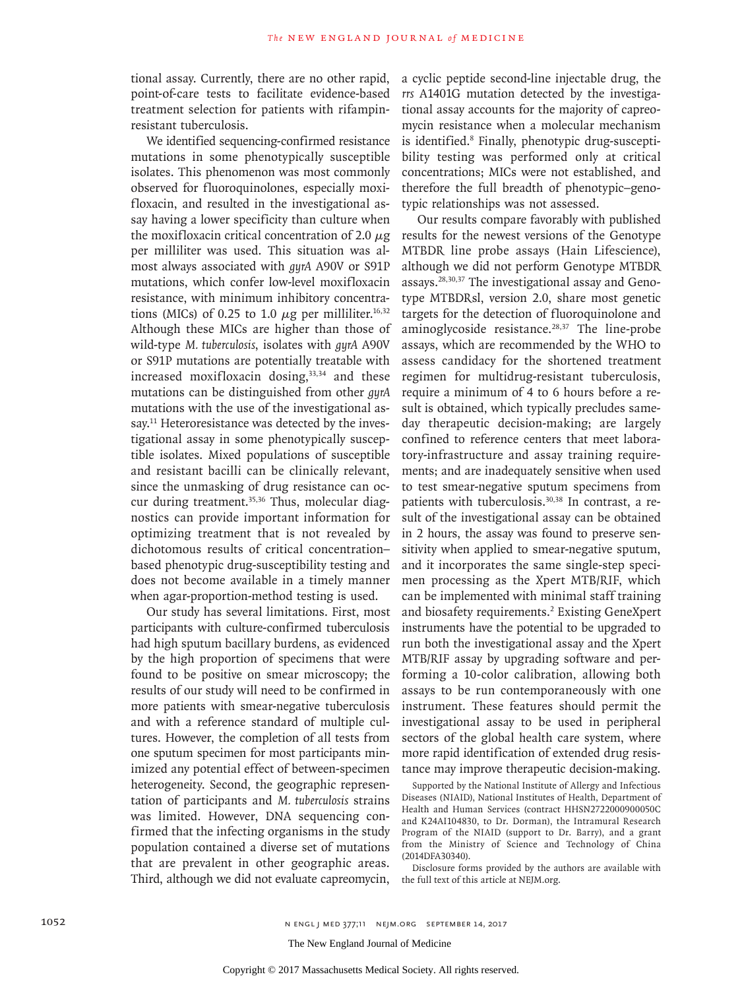tional assay. Currently, there are no other rapid, point-of-care tests to facilitate evidence-based treatment selection for patients with rifampinresistant tuberculosis.

We identified sequencing-confirmed resistance mutations in some phenotypically susceptible isolates. This phenomenon was most commonly observed for fluoroquinolones, especially moxifloxacin, and resulted in the investigational assay having a lower specificity than culture when the moxifloxacin critical concentration of 2.0  $\mu$ g per milliliter was used. This situation was almost always associated with *gyrA* A90V or S91P mutations, which confer low-level moxifloxacin resistance, with minimum inhibitory concentrations (MICs) of 0.25 to 1.0  $\mu$ g per milliliter.<sup>16,32</sup> Although these MICs are higher than those of wild-type *M. tuberculosis*, isolates with *gyrA* A90V or S91P mutations are potentially treatable with increased moxifloxacin dosing,<sup>33,34</sup> and these mutations can be distinguished from other *gyrA* mutations with the use of the investigational assay.<sup>11</sup> Heteroresistance was detected by the investigational assay in some phenotypically susceptible isolates. Mixed populations of susceptible and resistant bacilli can be clinically relevant, since the unmasking of drug resistance can occur during treatment.<sup>35,36</sup> Thus, molecular diagnostics can provide important information for optimizing treatment that is not revealed by dichotomous results of critical concentration– based phenotypic drug-susceptibility testing and does not become available in a timely manner when agar-proportion-method testing is used.

Our study has several limitations. First, most participants with culture-confirmed tuberculosis had high sputum bacillary burdens, as evidenced by the high proportion of specimens that were found to be positive on smear microscopy; the results of our study will need to be confirmed in more patients with smear-negative tuberculosis and with a reference standard of multiple cultures. However, the completion of all tests from one sputum specimen for most participants minimized any potential effect of between-specimen heterogeneity. Second, the geographic representation of participants and *M. tuberculosis* strains was limited. However, DNA sequencing confirmed that the infecting organisms in the study population contained a diverse set of mutations that are prevalent in other geographic areas. Third, although we did not evaluate capreomycin,

a cyclic peptide second-line injectable drug, the *rrs* A1401G mutation detected by the investigational assay accounts for the majority of capreomycin resistance when a molecular mechanism is identified.<sup>8</sup> Finally, phenotypic drug-susceptibility testing was performed only at critical concentrations; MICs were not established, and therefore the full breadth of phenotypic–genotypic relationships was not assessed.

Our results compare favorably with published results for the newest versions of the Genotype MTBDR line probe assays (Hain Lifescience), although we did not perform Genotype MTBDR assays.28,30,37 The investigational assay and Genotype MTBDRsl, version 2.0, share most genetic targets for the detection of fluoroquinolone and aminoglycoside resistance. $28,37$  The line-probe assays, which are recommended by the WHO to assess candidacy for the shortened treatment regimen for multidrug-resistant tuberculosis, require a minimum of 4 to 6 hours before a result is obtained, which typically precludes sameday therapeutic decision-making; are largely confined to reference centers that meet laboratory-infrastructure and assay training requirements; and are inadequately sensitive when used to test smear-negative sputum specimens from patients with tuberculosis.<sup>30,38</sup> In contrast, a result of the investigational assay can be obtained in 2 hours, the assay was found to preserve sensitivity when applied to smear-negative sputum, and it incorporates the same single-step specimen processing as the Xpert MTB/RIF, which can be implemented with minimal staff training and biosafety requirements.<sup>2</sup> Existing GeneXpert instruments have the potential to be upgraded to run both the investigational assay and the Xpert MTB/RIF assay by upgrading software and performing a 10-color calibration, allowing both assays to be run contemporaneously with one instrument. These features should permit the investigational assay to be used in peripheral sectors of the global health care system, where more rapid identification of extended drug resistance may improve therapeutic decision-making.

Supported by the National Institute of Allergy and Infectious Diseases (NIAID), National Institutes of Health, Department of Health and Human Services (contract HHSN2722000900050C and K24AI104830, to Dr. Dorman), the Intramural Research Program of the NIAID (support to Dr. Barry), and a grant from the Ministry of Science and Technology of China (2014DFA30340).

Disclosure forms provided by the authors are available with the full text of this article at NEJM.org.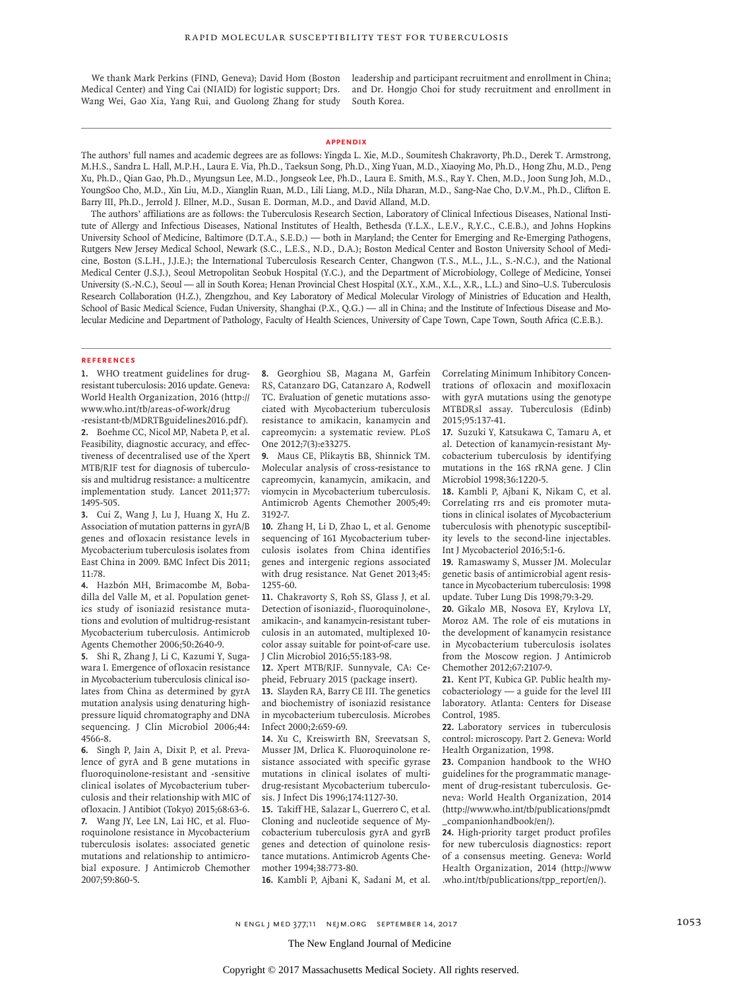We thank Mark Perkins (FIND, Geneva); David Hom (Boston Medical Center) and Ying Cai (NIAID) for logistic support; Drs. Wang Wei, Gao Xia, Yang Rui, and Guolong Zhang for study

leadership and participant recruitment and enrollment in China; and Dr. Hongjo Choi for study recruitment and enrollment in South Korea.

#### **Appendix**

The authors' full names and academic degrees are as follows: Yingda L. Xie, M.D., Soumitesh Chakravorty, Ph.D., Derek T. Armstrong, M.H.S., Sandra L. Hall, M.P.H., Laura E. Via, Ph.D., Taeksun Song, Ph.D., Xing Yuan, M.D., Xiaoying Mo, Ph.D., Hong Zhu, M.D., Peng Xu, Ph.D., Qian Gao, Ph.D., Myungsun Lee, M.D., Jongseok Lee, Ph.D., Laura E. Smith, M.S., Ray Y. Chen, M.D., Joon Sung Joh, M.D., YoungSoo Cho, M.D., Xin Liu, M.D., Xianglin Ruan, M.D., Lili Liang, M.D., Nila Dharan, M.D., Sang-Nae Cho, D.V.M., Ph.D., Clifton E. Barry III, Ph.D., Jerrold J. Ellner, M.D., Susan E. Dorman, M.D., and David Alland, M.D.

The authors' affiliations are as follows: the Tuberculosis Research Section, Laboratory of Clinical Infectious Diseases, National Institute of Allergy and Infectious Diseases, National Institutes of Health, Bethesda (Y.L.X., L.E.V., R.Y.C., C.E.B.), and Johns Hopkins University School of Medicine, Baltimore (D.T.A., S.E.D.) — both in Maryland; the Center for Emerging and Re-Emerging Pathogens, Rutgers New Jersey Medical School, Newark (S.C., L.E.S., N.D., D.A.); Boston Medical Center and Boston University School of Medicine, Boston (S.L.H., J.J.E.); the International Tuberculosis Research Center, Changwon (T.S., M.L., J.L., S.-N.C.), and the National Medical Center (J.S.J.), Seoul Metropolitan Seobuk Hospital (Y.C.), and the Department of Microbiology, College of Medicine, Yonsei University (S.-N.C.), Seoul — all in South Korea; Henan Provincial Chest Hospital (X.Y., X.M., X.L., X.R., L.L.) and Sino–U.S. Tuberculosis Research Collaboration (H.Z.), Zhengzhou, and Key Laboratory of Medical Molecular Virology of Ministries of Education and Health, School of Basic Medical Science, Fudan University, Shanghai (P.X., Q.G.) — all in China; and the Institute of Infectious Disease and Molecular Medicine and Department of Pathology, Faculty of Health Sciences, University of Cape Town, Cape Town, South Africa (C.E.B.).

#### **References**

**1.** WHO treatment guidelines for drugresistant tuberculosis: 2016 update. Geneva: World Health Organization, 2016 (http:// www.who.int/tb/areas-of-work/drug -resistant-tb/MDRTBguidelines2016.pdf).

**2.** Boehme CC, Nicol MP, Nabeta P, et al. Feasibility, diagnostic accuracy, and effectiveness of decentralised use of the Xpert MTB/RIF test for diagnosis of tuberculosis and multidrug resistance: a multicentre implementation study. Lancet 2011;377: 1495-505.

**3.** Cui Z, Wang J, Lu J, Huang X, Hu Z. Association of mutation patterns in gyrA/B genes and ofloxacin resistance levels in Mycobacterium tuberculosis isolates from East China in 2009. BMC Infect Dis 2011; 11:78.

**4.** Hazbón MH, Brimacombe M, Bobadilla del Valle M, et al. Population genetics study of isoniazid resistance mutations and evolution of multidrug-resistant Mycobacterium tuberculosis. Antimicrob Agents Chemother 2006;50:2640-9.

**5.** Shi R, Zhang J, Li C, Kazumi Y, Sugawara I. Emergence of ofloxacin resistance in Mycobacterium tuberculosis clinical isolates from China as determined by gyrA mutation analysis using denaturing highpressure liquid chromatography and DNA sequencing. J Clin Microbiol 2006;44: 4566-8.

**6.** Singh P, Jain A, Dixit P, et al. Prevalence of gyrA and B gene mutations in fluoroquinolone-resistant and -sensitive clinical isolates of Mycobacterium tuberculosis and their relationship with MIC of ofloxacin. J Antibiot (Tokyo) 2015;68:63-6. **7.** Wang JY, Lee LN, Lai HC, et al. Fluoroquinolone resistance in Mycobacterium tuberculosis isolates: associated genetic mutations and relationship to antimicrobial exposure. J Antimicrob Chemother 2007;59:860-5.

**8.** Georghiou SB, Magana M, Garfein RS, Catanzaro DG, Catanzaro A, Rodwell TC. Evaluation of genetic mutations associated with Mycobacterium tuberculosis resistance to amikacin, kanamycin and capreomycin: a systematic review. PLoS One 2012;7(3):e33275.

**9.** Maus CE, Plikaytis BB, Shinnick TM. Molecular analysis of cross-resistance to capreomycin, kanamycin, amikacin, and viomycin in Mycobacterium tuberculosis. Antimicrob Agents Chemother 2005;49: 3192-7.

**10.** Zhang H, Li D, Zhao L, et al. Genome sequencing of 161 Mycobacterium tuberculosis isolates from China identifies genes and intergenic regions associated with drug resistance. Nat Genet 2013;45: 1255-60.

**11.** Chakravorty S, Roh SS, Glass J, et al. Detection of isoniazid-, fluoroquinolone-, amikacin-, and kanamycin-resistant tuberculosis in an automated, multiplexed 10 color assay suitable for point-of-care use. J Clin Microbiol 2016;55:183-98.

**12.** Xpert MTB/RIF. Sunnyvale, CA: Cepheid, February 2015 (package insert).

**13.** Slayden RA, Barry CE III. The genetics and biochemistry of isoniazid resistance in mycobacterium tuberculosis. Microbes Infect 2000;2:659-69.

**14.** Xu C, Kreiswirth BN, Sreevatsan S, Musser JM, Drlica K. Fluoroquinolone resistance associated with specific gyrase mutations in clinical isolates of multidrug-resistant Mycobacterium tuberculosis. J Infect Dis 1996;174:1127-30.

**15.** Takiff HE, Salazar L, Guerrero C, et al. Cloning and nucleotide sequence of Mycobacterium tuberculosis gyrA and gyrB genes and detection of quinolone resistance mutations. Antimicrob Agents Chemother 1994;38:773-80.

**16.** Kambli P, Ajbani K, Sadani M, et al.

Correlating Minimum Inhibitory Concentrations of ofloxacin and moxifloxacin with gyrA mutations using the genotype MTBDRsl assay. Tuberculosis (Edinb) 2015;95:137-41.

**17.** Suzuki Y, Katsukawa C, Tamaru A, et al. Detection of kanamycin-resistant Mycobacterium tuberculosis by identifying mutations in the 16S rRNA gene. J Clin Microbiol 1998;36:1220-5.

**18.** Kambli P, Ajbani K, Nikam C, et al. Correlating rrs and eis promoter mutations in clinical isolates of Mycobacterium tuberculosis with phenotypic susceptibility levels to the second-line injectables. Int J Mycobacteriol 2016;5:1-6.

**19.** Ramaswamy S, Musser JM. Molecular genetic basis of antimicrobial agent resistance in Mycobacterium tuberculosis: 1998 update. Tuber Lung Dis 1998;79:3-29.

**20.** Gikalo MB, Nosova EY, Krylova LY, Moroz AM. The role of eis mutations in the development of kanamycin resistance in Mycobacterium tuberculosis isolates from the Moscow region. J Antimicrob Chemother 2012;67:2107-9.

**21.** Kent PT, Kubica GP. Public health mycobacteriology — a guide for the level III laboratory. Atlanta: Centers for Disease Control, 1985.

**22.** Laboratory services in tuberculosis control: microscopy. Part 2. Geneva: World Health Organization, 1998.

**23.** Companion handbook to the WHO guidelines for the programmatic management of drug-resistant tuberculosis. Geneva: World Health Organization, 2014 (http://www.who.int/tb/publications/pmdt \_companionhandbook/en/).

**24.** High-priority target product profiles for new tuberculosis diagnostics: report of a consensus meeting. Geneva: World Health Organization, 2014 (http://www .who.int/tb/publications/tpp\_report/en/).